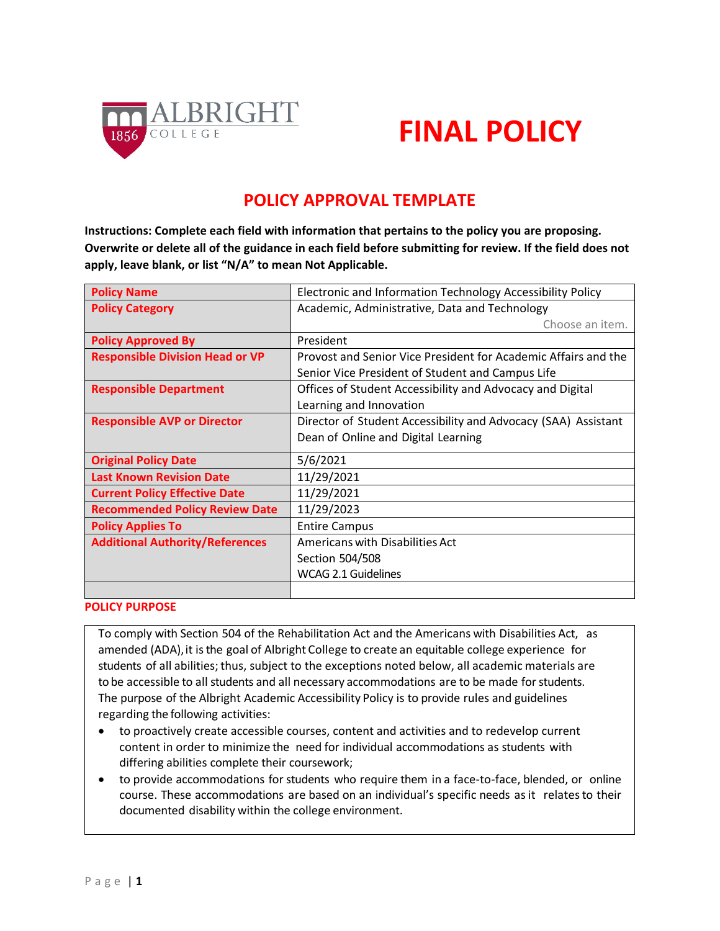

# **FINAL POLICY**

# **POLICY APPROVAL TEMPLATE**

**Instructions: Complete each field with information that pertains to the policy you are proposing. Overwrite or delete all of the guidance in each field before submitting for review. If the field does not apply, leave blank, or list "N/A" to mean Not Applicable.**

| <b>Policy Name</b>                     | Electronic and Information Technology Accessibility Policy     |  |  |
|----------------------------------------|----------------------------------------------------------------|--|--|
| <b>Policy Category</b>                 | Academic, Administrative, Data and Technology                  |  |  |
|                                        | Choose an item.                                                |  |  |
| <b>Policy Approved By</b>              | President                                                      |  |  |
| <b>Responsible Division Head or VP</b> | Provost and Senior Vice President for Academic Affairs and the |  |  |
|                                        | Senior Vice President of Student and Campus Life               |  |  |
| <b>Responsible Department</b>          | Offices of Student Accessibility and Advocacy and Digital      |  |  |
|                                        | Learning and Innovation                                        |  |  |
| <b>Responsible AVP or Director</b>     | Director of Student Accessibility and Advocacy (SAA) Assistant |  |  |
|                                        | Dean of Online and Digital Learning                            |  |  |
| <b>Original Policy Date</b>            | 5/6/2021                                                       |  |  |
| <b>Last Known Revision Date</b>        | 11/29/2021                                                     |  |  |
| <b>Current Policy Effective Date</b>   | 11/29/2021                                                     |  |  |
| <b>Recommended Policy Review Date</b>  | 11/29/2023                                                     |  |  |
| <b>Policy Applies To</b>               | <b>Entire Campus</b>                                           |  |  |
| <b>Additional Authority/References</b> | Americans with Disabilities Act                                |  |  |
|                                        | Section 504/508                                                |  |  |
|                                        | <b>WCAG 2.1 Guidelines</b>                                     |  |  |
|                                        |                                                                |  |  |

## **POLICY PURPOSE**

To comply with Section 504 of the Rehabilitation Act and the Americans with Disabilities Act, as amended (ADA), it is the goal of Albright College to create an equitable college experience for students of all abilities; thus, subject to the exceptions noted below, all academic materials are to be accessible to all students and all necessary accommodations are to be made for students. The purpose of the Albright Academic Accessibility Policy is to provide rules and guidelines regarding the following activities:

- to proactively create accessible courses, content and activities and to redevelop current content in order to minimize the need for individual accommodations as students with differing abilities complete their coursework;
- to provide accommodations for students who require them in a face-to-face, blended, or online course. These accommodations are based on an individual's specific needs asit relatesto their documented disability within the college environment.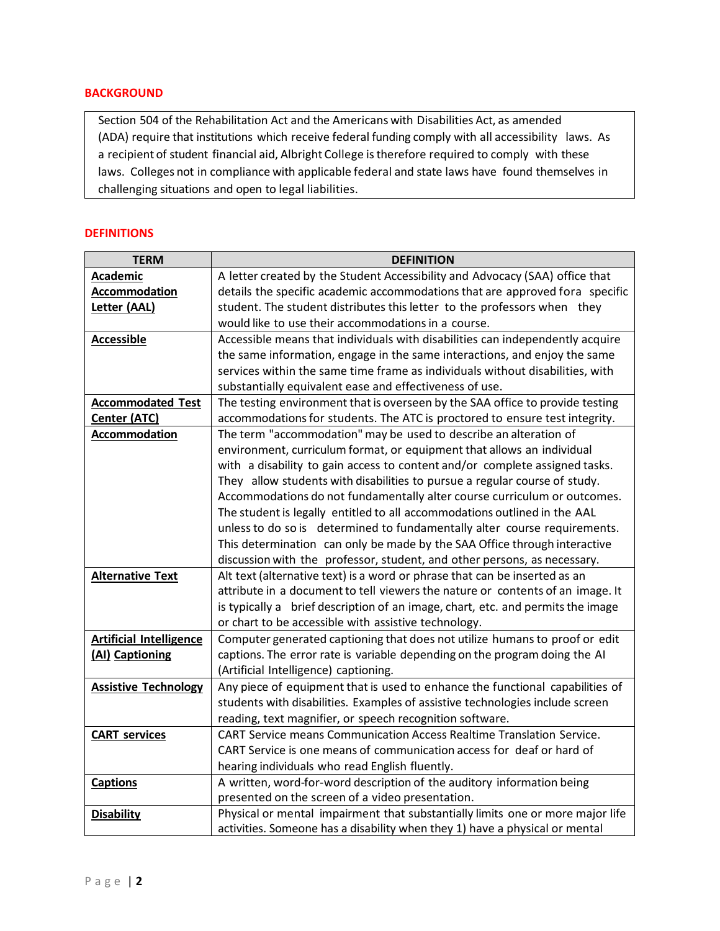## **BACKGROUND**

Section 504 of the Rehabilitation Act and the Americans with Disabilities Act, as amended (ADA) require that institutions which receive federal funding comply with all accessibility laws. As a recipient of student financial aid, Albright College istherefore required to comply with these laws. Colleges not in compliance with applicable federal and state laws have found themselves in challenging situations and open to legal liabilities.

#### **DEFINITIONS**

| <b>TERM</b>                    | <b>DEFINITION</b>                                                               |  |  |  |
|--------------------------------|---------------------------------------------------------------------------------|--|--|--|
| <b>Academic</b>                | A letter created by the Student Accessibility and Advocacy (SAA) office that    |  |  |  |
| Accommodation                  | details the specific academic accommodations that are approved fora specific    |  |  |  |
| Letter (AAL)                   | student. The student distributes this letter to the professors when they        |  |  |  |
|                                | would like to use their accommodations in a course.                             |  |  |  |
| <b>Accessible</b>              | Accessible means that individuals with disabilities can independently acquire   |  |  |  |
|                                | the same information, engage in the same interactions, and enjoy the same       |  |  |  |
|                                | services within the same time frame as individuals without disabilities, with   |  |  |  |
|                                | substantially equivalent ease and effectiveness of use.                         |  |  |  |
| <b>Accommodated Test</b>       | The testing environment that is overseen by the SAA office to provide testing   |  |  |  |
| Center (ATC)                   | accommodations for students. The ATC is proctored to ensure test integrity.     |  |  |  |
| <b>Accommodation</b>           | The term "accommodation" may be used to describe an alteration of               |  |  |  |
|                                | environment, curriculum format, or equipment that allows an individual          |  |  |  |
|                                | with a disability to gain access to content and/or complete assigned tasks.     |  |  |  |
|                                | They allow students with disabilities to pursue a regular course of study.      |  |  |  |
|                                | Accommodations do not fundamentally alter course curriculum or outcomes.        |  |  |  |
|                                | The student is legally entitled to all accommodations outlined in the AAL       |  |  |  |
|                                | unless to do so is determined to fundamentally alter course requirements.       |  |  |  |
|                                | This determination can only be made by the SAA Office through interactive       |  |  |  |
|                                | discussion with the professor, student, and other persons, as necessary.        |  |  |  |
| <b>Alternative Text</b>        | Alt text (alternative text) is a word or phrase that can be inserted as an      |  |  |  |
|                                | attribute in a document to tell viewers the nature or contents of an image. It  |  |  |  |
|                                | is typically a brief description of an image, chart, etc. and permits the image |  |  |  |
|                                | or chart to be accessible with assistive technology.                            |  |  |  |
| <b>Artificial Intelligence</b> | Computer generated captioning that does not utilize humans to proof or edit     |  |  |  |
| (AI) Captioning                | captions. The error rate is variable depending on the program doing the AI      |  |  |  |
|                                | (Artificial Intelligence) captioning.                                           |  |  |  |
| <b>Assistive Technology</b>    | Any piece of equipment that is used to enhance the functional capabilities of   |  |  |  |
|                                | students with disabilities. Examples of assistive technologies include screen   |  |  |  |
|                                | reading, text magnifier, or speech recognition software.                        |  |  |  |
| <b>CART services</b>           | CART Service means Communication Access Realtime Translation Service.           |  |  |  |
|                                | CART Service is one means of communication access for deaf or hard of           |  |  |  |
|                                | hearing individuals who read English fluently.                                  |  |  |  |
| <b>Captions</b>                | A written, word-for-word description of the auditory information being          |  |  |  |
|                                | presented on the screen of a video presentation.                                |  |  |  |
| <b>Disability</b>              | Physical or mental impairment that substantially limits one or more major life  |  |  |  |
|                                | activities. Someone has a disability when they 1) have a physical or mental     |  |  |  |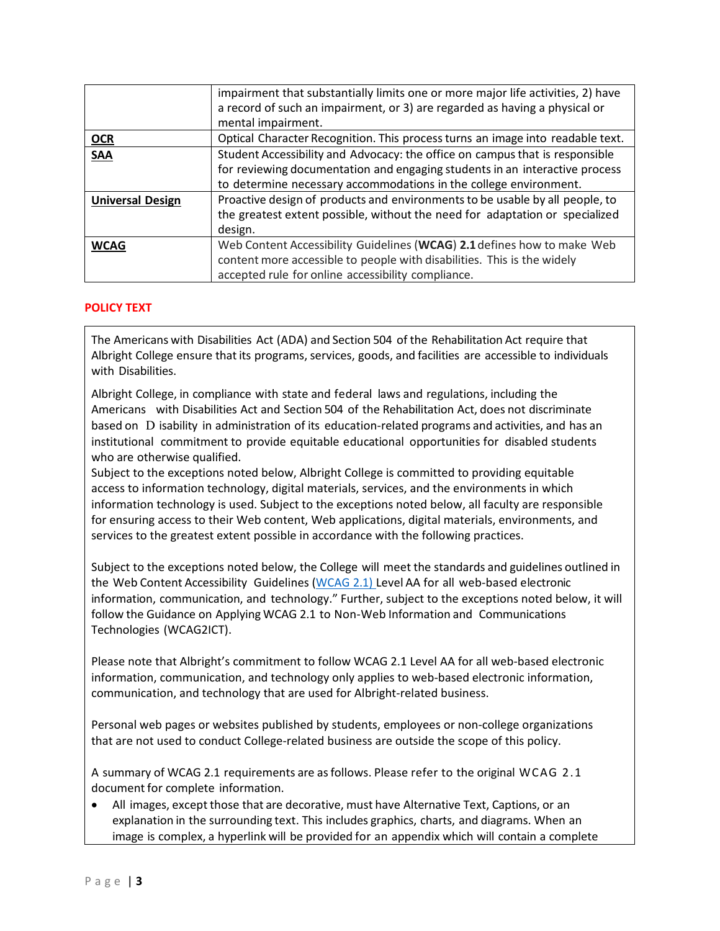|                         | impairment that substantially limits one or more major life activities, 2) have<br>a record of such an impairment, or 3) are regarded as having a physical or<br>mental impairment.                                              |  |
|-------------------------|----------------------------------------------------------------------------------------------------------------------------------------------------------------------------------------------------------------------------------|--|
| <b>OCR</b>              | Optical Character Recognition. This process turns an image into readable text.                                                                                                                                                   |  |
| <b>SAA</b>              | Student Accessibility and Advocacy: the office on campus that is responsible<br>for reviewing documentation and engaging students in an interactive process<br>to determine necessary accommodations in the college environment. |  |
| <b>Universal Design</b> | Proactive design of products and environments to be usable by all people, to<br>the greatest extent possible, without the need for adaptation or specialized<br>design.                                                          |  |
| <b>WCAG</b>             | Web Content Accessibility Guidelines (WCAG) 2.1 defines how to make Web<br>content more accessible to people with disabilities. This is the widely<br>accepted rule for online accessibility compliance.                         |  |

# **POLICY TEXT**

The Americans with Disabilities Act (ADA) and Section 504 of the Rehabilitation Act require that Albright College ensure that its programs, services, goods, and facilities are accessible to individuals with Disabilities.

Albright College, in compliance with state and federal laws and regulations, including the Americans with Disabilities Act and Section 504 of the Rehabilitation Act, does not discriminate based on D isability in administration of its education-related programs and activities, and has an institutional commitment to provide equitable educational opportunities for disabled students who are otherwise qualified.

Subject to the exceptions noted below, Albright College is committed to providing equitable access to information technology, digital materials, services, and the environments in which information technology is used. Subject to the exceptions noted below, all faculty are responsible for ensuring access to their Web content, Web applications, digital materials, environments, and services to the greatest extent possible in accordance with the following practices.

Subject to the exceptions noted below, the College will meet the standards and guidelines outlined in the Web Content Accessibility Guidelines [\(WCAG](https://www.w3.org/TR/WCAG22/) 2.1) Level AA for all web-based electronic information, communication, and technology." Further, subject to the exceptions noted below, it will follow the Guidance on Applying WCAG 2.1 to Non-Web Information and Communications Technologies (WCAG2ICT).

Please note that Albright's commitment to follow WCAG 2.1 Level AA for all web-based electronic information, communication, and technology only applies to web-based electronic information, communication, and technology that are used for Albright-related business.

Personal web pages or websites published by students, employees or non-college organizations that are not used to conduct College-related business are outside the scope of this policy.

A summary of WCAG 2.1 requirements are asfollows. Please refer to the original WCAG 2.1 document for complete information.

• All images, except those that are decorative, must have Alternative Text, Captions, or an explanation in the surrounding text. This includes graphics, charts, and diagrams. When an image is complex, a hyperlink will be provided for an appendix which will contain a complete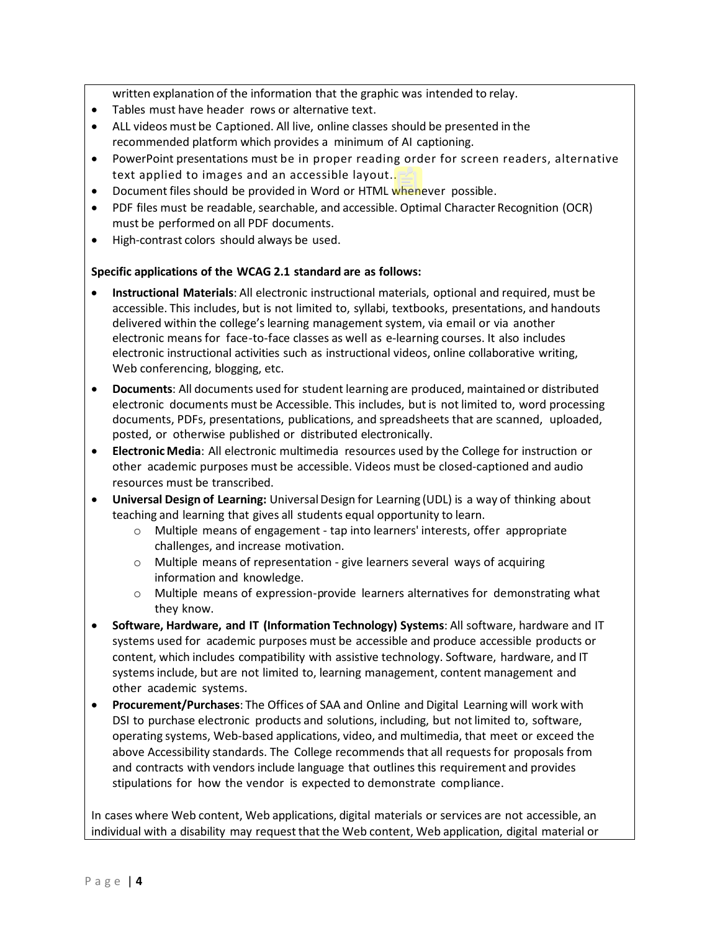written explanation of the information that the graphic was intended to relay.

- Tables must have header rows or alternative text.
- ALL videos must be Captioned. All live, online classes should be presented in the recommended platform which provides a minimum of AI captioning.
- PowerPoint presentations must be in proper reading order for screen readers, alternative text applied to images and an accessible layout..
- Document files should be provided in Word or HTML whenever possible.
- PDF files must be readable, searchable, and accessible. Optimal Character Recognition (OCR) must be performed on all PDF documents.
- High-contrast colors should always be used.

# **Specific applications of the WCAG 2.1 standard are as follows:**

- **Instructional Materials**: All electronic instructional materials, optional and required, must be accessible. This includes, but is not limited to, syllabi, textbooks, presentations, and handouts delivered within the college's learning management system, via email or via another electronic means for face-to-face classes as well as e-learning courses. It also includes electronic instructional activities such as instructional videos, online collaborative writing, Web conferencing, blogging, etc.
- **Documents**: All documents used for student learning are produced, maintained or distributed electronic documents must be Accessible. This includes, but is not limited to, word processing documents, PDFs, presentations, publications, and spreadsheets that are scanned, uploaded, posted, or otherwise published or distributed electronically.
- **Electronic Media**: All electronic multimedia resources used by the College for instruction or other academic purposes must be accessible. Videos must be closed-captioned and audio resources must be transcribed.
- **Universal Design of Learning:** UniversalDesign for Learning (UDL) is a way of thinking about teaching and learning that gives all students equal opportunity to learn.
	- o Multiple means of engagement tap into learners' interests, offer appropriate challenges, and increase motivation.
	- o Multiple means of representation give learners several ways of acquiring information and knowledge.
	- o Multiple means of expression-provide learners alternatives for demonstrating what they know.
- **Software, Hardware, and IT (Information Technology) Systems**: All software, hardware and IT systems used for academic purposes must be accessible and produce accessible products or content, which includes compatibility with assistive technology. Software, hardware, and IT systemsinclude, but are not limited to, learning management, content management and other academic systems.
- **Procurement/Purchases**: The Offices of SAA and Online and Digital Learning will work with DSI to purchase electronic products and solutions, including, but not limited to, software, operating systems, Web-based applications, video, and multimedia, that meet or exceed the above Accessibility standards. The College recommends that all requests for proposals from and contracts with vendors include language that outlinesthis requirement and provides stipulations for how the vendor is expected to demonstrate compliance.

In cases where Web content, Web applications, digital materials or services are not accessible, an individual with a disability may request thatthe Web content, Web application, digital material or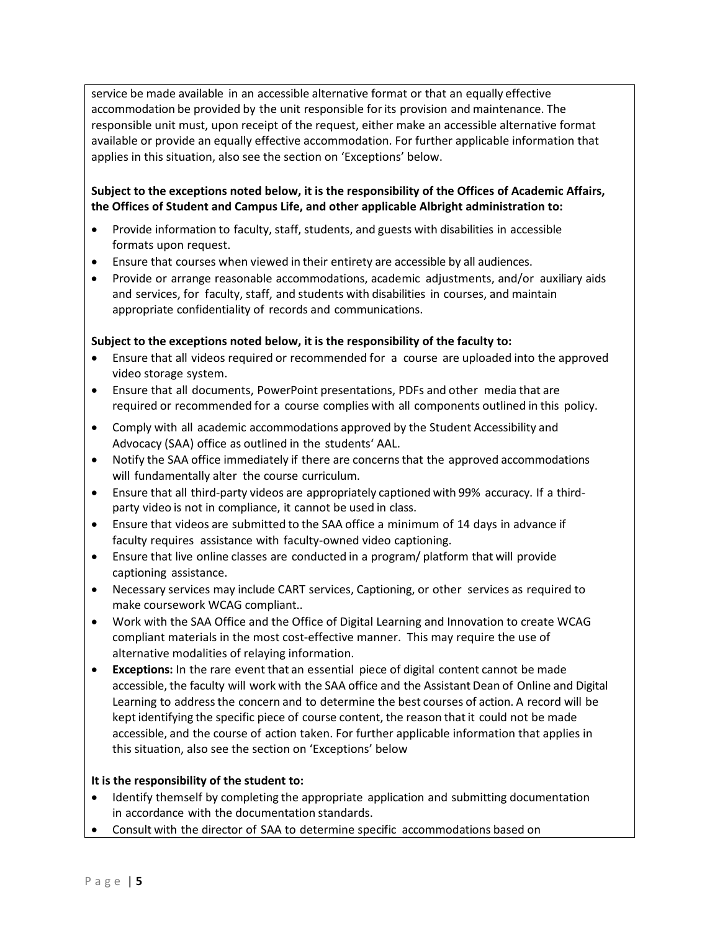service be made available in an accessible alternative format or that an equally effective accommodation be provided by the unit responsible forits provision and maintenance. The responsible unit must, upon receipt of the request, either make an accessible alternative format available or provide an equally effective accommodation. For further applicable information that applies in this situation, also see the section on 'Exceptions' below.

# **Subject to the exceptions noted below, it is the responsibility of the Offices of Academic Affairs, the Offices of Student and Campus Life, and other applicable Albright administration to:**

- Provide information to faculty, staff, students, and guests with disabilities in accessible formats upon request.
- Ensure that courses when viewed in their entirety are accessible by all audiences.
- Provide or arrange reasonable accommodations, academic adjustments, and/or auxiliary aids and services, for faculty, staff, and students with disabilities in courses, and maintain appropriate confidentiality of records and communications.

# **Subject to the exceptions noted below, it is the responsibility of the faculty to:**

- Ensure that all videos required or recommended for a course are uploaded into the approved video storage system.
- Ensure that all documents, PowerPoint presentations, PDFs and other media that are required or recommended for a course complies with all components outlined in this policy.
- Comply with all academic accommodations approved by the Student Accessibility and Advocacy (SAA) office as outlined in the students' AAL.
- Notify the SAA office immediately if there are concernsthat the approved accommodations will fundamentally alter the course curriculum.
- Ensure that all third-party videos are appropriately captioned with 99% accuracy. If a thirdparty video is not in compliance, it cannot be used in class.
- Ensure that videos are submitted to the SAA office a minimum of 14 days in advance if faculty requires assistance with faculty-owned video captioning.
- Ensure that live online classes are conducted in a program/ platform that will provide captioning assistance.
- Necessary services may include CART services, Captioning, or other services as required to make coursework WCAG compliant..
- Work with the SAA Office and the Office of Digital Learning and Innovation to create WCAG compliant materials in the most cost-effective manner. This may require the use of alternative modalities of relaying information.
- **Exceptions:** In the rare event that an essential piece of digital content cannot be made accessible, the faculty will work with the SAA office and the Assistant Dean of Online and Digital Learning to addressthe concern and to determine the best courses of action. A record will be kept identifying the specific piece of course content, the reason that it could not be made accessible, and the course of action taken. For further applicable information that applies in this situation, also see the section on 'Exceptions' below

# **It is the responsibility of the student to:**

- Identify themself by completing the appropriate application and submitting documentation in accordance with the documentation standards.
- Consult with the director of SAA to determine specific accommodations based on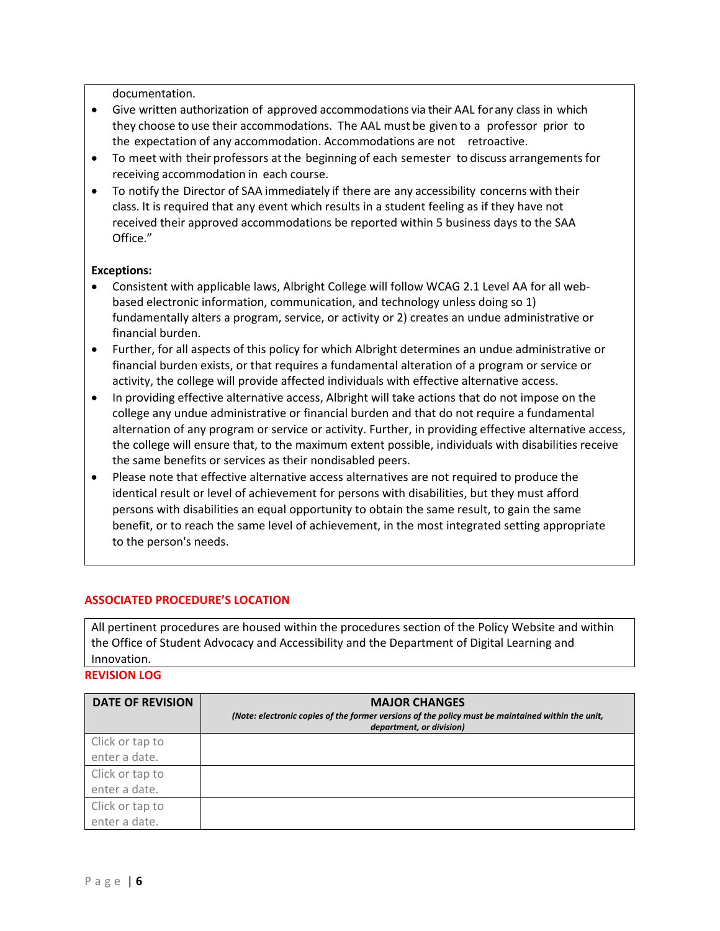documentation.

- Give written authorization of approved accommodations via their AAL forany class in which they choose to use their accommodations. The AAL must be given to a professor prior to the expectation of any accommodation. Accommodations are not retroactive.
- To meet with their professors atthe beginning of each semester to discuss arrangements for receiving accommodation in each course.
- To notify the Director of SAA immediately if there are any accessibility concerns with their class. It is required that any event which results in a student feeling as if they have not received their approved accommodations be reported within 5 business days to the SAA Office."

# **Exceptions:**

- Consistent with applicable laws, Albright College will follow WCAG 2.1 Level AA for all webbased electronic information, communication, and technology unless doing so 1) fundamentally alters a program, service, or activity or 2) creates an undue administrative or financial burden.
- Further, for all aspects of this policy for which Albright determines an undue administrative or financial burden exists, or that requires a fundamental alteration of a program or service or activity, the college will provide affected individuals with effective alternative access.
- In providing effective alternative access, Albright will take actions that do not impose on the college any undue administrative or financial burden and that do not require a fundamental alternation of any program or service or activity. Further, in providing effective alternative access, the college will ensure that, to the maximum extent possible, individuals with disabilities receive the same benefits or services as their nondisabled peers.
- Please note that effective alternative access alternatives are not required to produce the identical result or level of achievement for persons with disabilities, but they must afford persons with disabilities an equal opportunity to obtain the same result, to gain the same benefit, or to reach the same level of achievement, in the most integrated setting appropriate to the person's needs.

# **ASSOCIATED PROCEDURE'S LOCATION**

All pertinent procedures are housed within the procedures section of the Policy Website and within the Office of Student Advocacy and Accessibility and the Department of Digital Learning and Innovation.

**REVISION LOG**

| <b>DATE OF REVISION</b> | <b>MAJOR CHANGES</b><br>(Note: electronic copies of the former versions of the policy must be maintained within the unit,<br>department, or division) |
|-------------------------|-------------------------------------------------------------------------------------------------------------------------------------------------------|
| Click or tap to         |                                                                                                                                                       |
| enter a date.           |                                                                                                                                                       |
| Click or tap to         |                                                                                                                                                       |
| enter a date.           |                                                                                                                                                       |
| Click or tap to         |                                                                                                                                                       |
| enter a date.           |                                                                                                                                                       |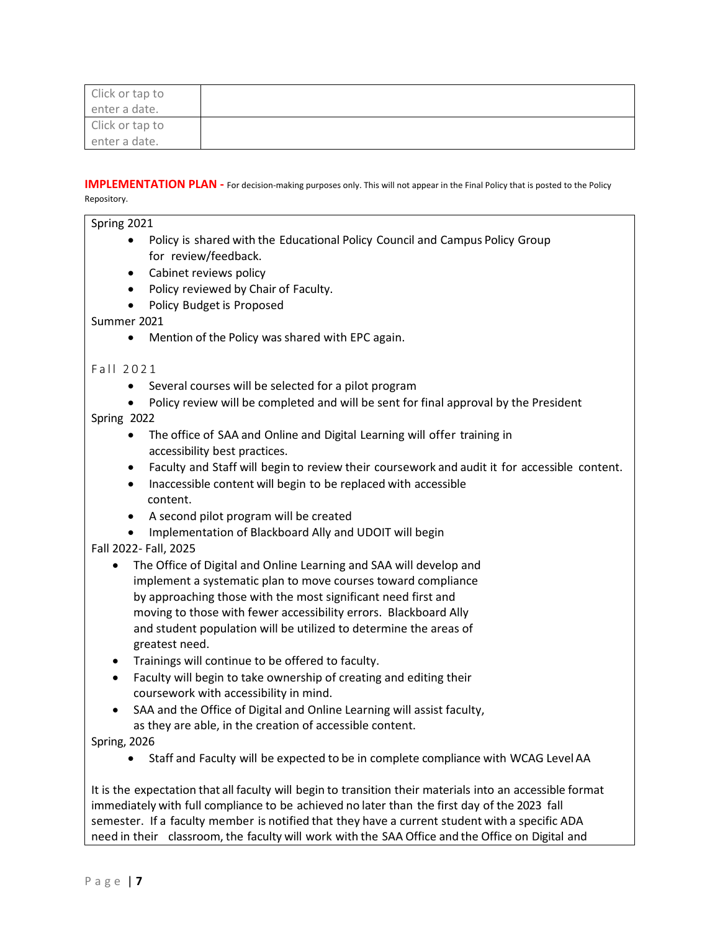| Click or tap to |  |
|-----------------|--|
| enter a date.   |  |
| Click or tap to |  |
| enter a date.   |  |

**IMPLEMENTATION PLAN** - For decision-making purposes only. This will not appear in the Final Policy that is posted to the Policy Repository.

| Spring 2021            |                                                                                                                                                                |  |  |  |
|------------------------|----------------------------------------------------------------------------------------------------------------------------------------------------------------|--|--|--|
| $\bullet$              | Policy is shared with the Educational Policy Council and Campus Policy Group<br>for review/feedback.                                                           |  |  |  |
| $\bullet$              | Cabinet reviews policy                                                                                                                                         |  |  |  |
| $\bullet$              | Policy reviewed by Chair of Faculty.                                                                                                                           |  |  |  |
| $\bullet$              | Policy Budget is Proposed                                                                                                                                      |  |  |  |
| Summer 2021            |                                                                                                                                                                |  |  |  |
| $\bullet$              | Mention of the Policy was shared with EPC again.                                                                                                               |  |  |  |
| Fall 2021              |                                                                                                                                                                |  |  |  |
| $\bullet$              | Several courses will be selected for a pilot program                                                                                                           |  |  |  |
| $\bullet$              | Policy review will be completed and will be sent for final approval by the President                                                                           |  |  |  |
| Spring 2022            |                                                                                                                                                                |  |  |  |
| $\bullet$              | The office of SAA and Online and Digital Learning will offer training in<br>accessibility best practices.                                                      |  |  |  |
| $\bullet$<br>$\bullet$ | Faculty and Staff will begin to review their coursework and audit it for accessible content.<br>Inaccessible content will begin to be replaced with accessible |  |  |  |
|                        | content.                                                                                                                                                       |  |  |  |
| ٠                      | A second pilot program will be created                                                                                                                         |  |  |  |
| $\bullet$              | Implementation of Blackboard Ally and UDOIT will begin                                                                                                         |  |  |  |
| Fall 2022- Fall, 2025  |                                                                                                                                                                |  |  |  |
| $\bullet$              | The Office of Digital and Online Learning and SAA will develop and                                                                                             |  |  |  |
|                        | implement a systematic plan to move courses toward compliance                                                                                                  |  |  |  |
|                        | by approaching those with the most significant need first and                                                                                                  |  |  |  |
|                        | moving to those with fewer accessibility errors. Blackboard Ally                                                                                               |  |  |  |
|                        | and student population will be utilized to determine the areas of                                                                                              |  |  |  |
|                        | greatest need.                                                                                                                                                 |  |  |  |
| $\bullet$              | Trainings will continue to be offered to faculty.                                                                                                              |  |  |  |
| $\bullet$              | Faculty will begin to take ownership of creating and editing their<br>coursework with accessibility in mind.                                                   |  |  |  |
| $\bullet$              | SAA and the Office of Digital and Online Learning will assist faculty,                                                                                         |  |  |  |
|                        | as they are able, in the creation of accessible content.                                                                                                       |  |  |  |
| Spring, 2026           |                                                                                                                                                                |  |  |  |
| $\bullet$              | Staff and Faculty will be expected to be in complete compliance with WCAG Level AA                                                                             |  |  |  |
|                        |                                                                                                                                                                |  |  |  |
|                        | It is the expectation that all faculty will begin to transition their materials into an accessible format                                                      |  |  |  |
|                        | immediately with full compliance to be achieved no later than the first day of the 2023 fall                                                                   |  |  |  |

semester. If a faculty member is notified that they have a current student with a specific ADA need in their classroom, the faculty will work with the SAA Office and the Office on Digital and